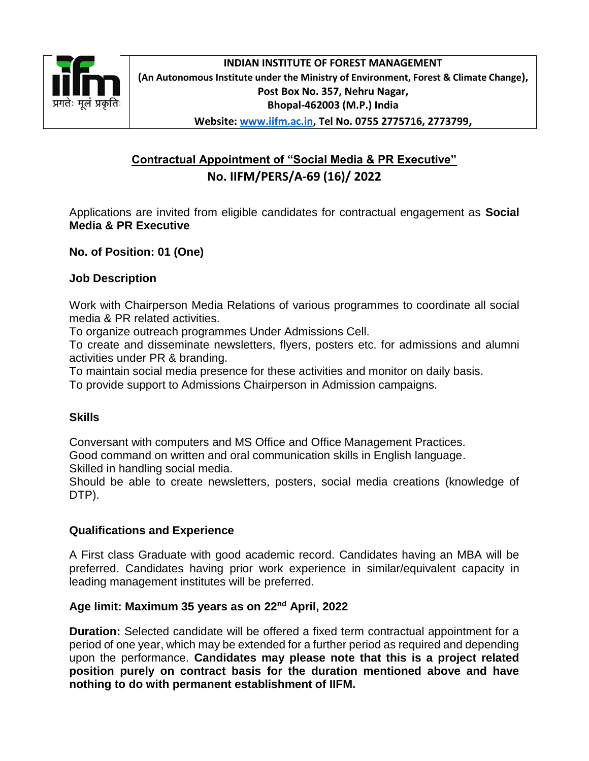

## **Contractual Appointment of "Social Media & PR Executive" No. IIFM/PERS/A-69 (16)/ 2022**

Applications are invited from eligible candidates for contractual engagement as **Social Media & PR Executive**

**No. of Position: 01 (One)**

#### **Job Description**

Work with Chairperson Media Relations of various programmes to coordinate all social media & PR related activities.

To organize outreach programmes Under Admissions Cell.

To create and disseminate newsletters, flyers, posters etc. for admissions and alumni activities under PR & branding.

To maintain social media presence for these activities and monitor on daily basis.

To provide support to Admissions Chairperson in Admission campaigns.

### **Skills**

Conversant with computers and MS Office and Office Management Practices. Good command on written and oral communication skills in English language.

Skilled in handling social media.

Should be able to create newsletters, posters, social media creations (knowledge of DTP).

### **Qualifications and Experience**

A First class Graduate with good academic record. Candidates having an MBA will be preferred. Candidates having prior work experience in similar/equivalent capacity in leading management institutes will be preferred.

### **Age limit: Maximum 35 years as on 22nd April, 2022**

**Duration:** Selected candidate will be offered a fixed term contractual appointment for a period of one year, which may be extended for a further period as required and depending upon the performance. **Candidates may please note that this is a project related position purely on contract basis for the duration mentioned above and have nothing to do with permanent establishment of IIFM.**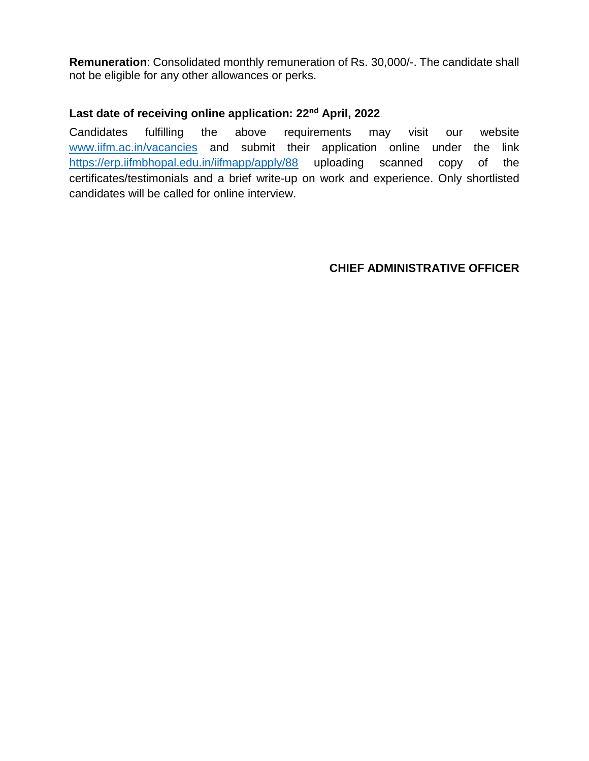**Remuneration**: Consolidated monthly remuneration of Rs. 30,000/-. The candidate shall not be eligible for any other allowances or perks.

### **Last date of receiving online application: 22nd April, 2022**

Candidates fulfilling the above requirements may visit our website [www.iifm.ac.in/vacancies](http://www.iifm.ac.in/vacancies) and submit their application online under the link <https://erp.iifmbhopal.edu.in/iifmapp/apply/88> uploading scanned copy of the certificates/testimonials and a brief write-up on work and experience. Only shortlisted candidates will be called for online interview.

### **CHIEF ADMINISTRATIVE OFFICER**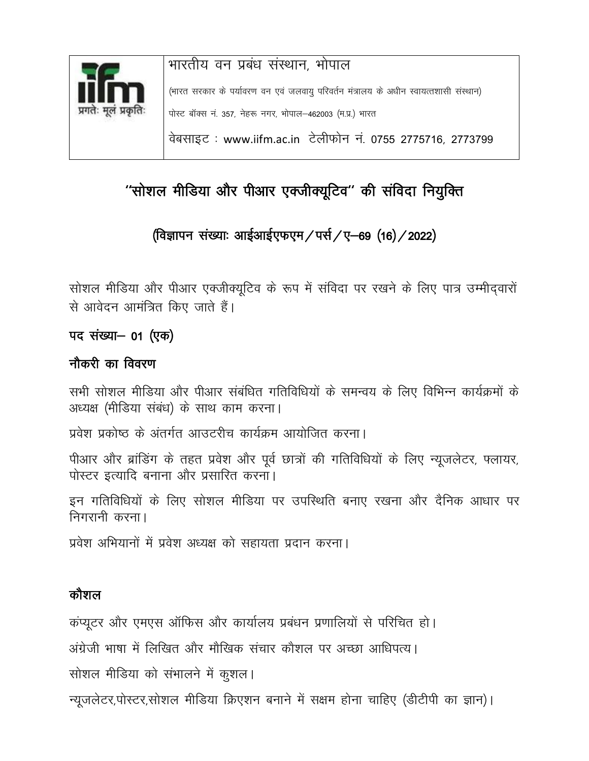

# ''सोशल मीडिया और पीआर एक्जीक्यूटिव'' की संविदा नियुक्ति

## (विज्ञापन संख्याः आईआईएफएम / पर्स / ए-69 (16) / 2022)

सोशल मीडिया और पीआर एक्जीक्यूटिव के रूप में संविदा पर रखने के लिए पात्र उम्मीदवारों से आवेदन आमंत्रित किए जाते हैं।

## पद संख्या– 01 (एक)

## नौकरी का विवरण

सभी सोशल मीडिया और पीआर संबंधित गतिविधियों के समन्वय के लिए विभिन्न कार्यक्रमों के अध्यक्ष (मीडिया संबंध) के साथ काम करना।

प्रवेश प्रकोष्ठ के अंतर्गत आउटरीच कार्यक्रम आयोजित करना।

पीआर और ब्रांडिंग के तहत प्रवेश और पूर्व छात्रों की गतिविधियों के लिए न्यूजलेटर, फ्लायर, पोस्टर इत्यादि बनाना और प्रसारित करना।

इन गतिविधियों के लिए सोशल मीडिया पर उपस्थिति बनाए रखना और दैनिक आधार पर निगरानी करना।

प्रवेश अभियानों में प्रवेश अध्यक्ष को सहायता प्रदान करना।

## कौशल

कंप्यूटर और एमएस ऑफिस और कार्यालय प्रबंधन प्रणालियों से परिचित हो।

अंग्रेजी भाषा में लिखित और मौखिक संचार कौशल पर अच्छा आधिपत्य।

सोशल मीडिया को संभालने में कुशल।

न्यूजलेटर,पोस्टर,सोशल मीडिया क्रिएशन बनाने में सक्षम होना चाहिए (डीटीपी का ज्ञान)।